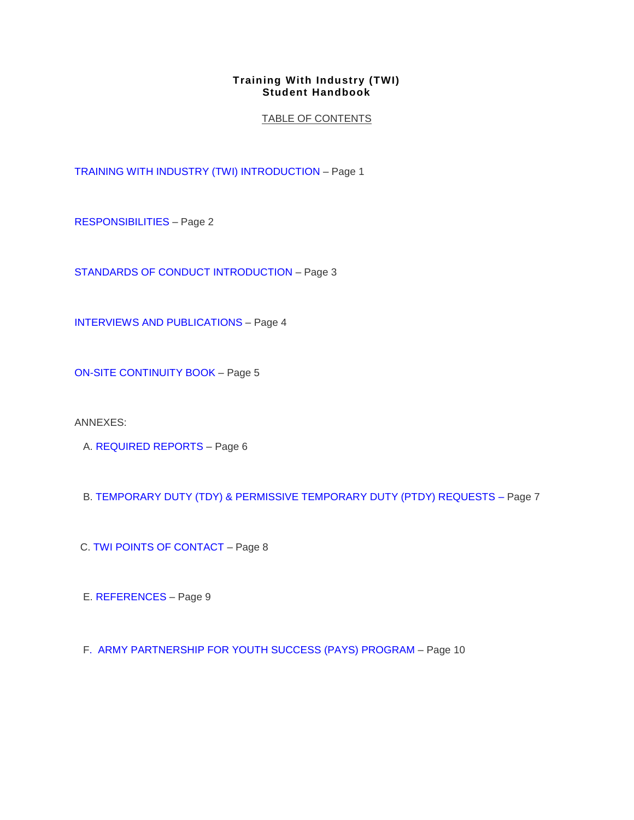# TABLE OF CONTENTS

[TRAINING WITH INDUSTRY \(TWI\) INTRODUCTION](http://hrctest/opfamacs/TWI07.htm) – Page 1

[RESPONSIBILITIES](http://hrctest/opfamacs/TWI08.htm) – Page 2

[STANDARDS OF CONDUCT INTRODUCTION](http://hrctest/opfamacs/TWI09.htm) – Page 3

[INTERVIEWS AND PUBLICATIONS](http://hrctest/opfamacs/TWI10.htm) – Page 4

[ON-SITE CONTINUITY BOOK](http://hrctest/opfamacs/TWI11.htm) – Page 5

ANNEXES:

A. [REQUIRED REPORTS](http://hrctest/opfamacs/TWI12.htm) – Page 6

B. [TEMPORARY DUTY \(TDY\) & PERMISSIVE TEMPORARY DUTY \(PTDY\) REQUESTS](http://hrctest/opfamacs/TWI16.htm) – Page 7

C. [TWI POINTS OF CONTACT](http://hrctest/opfamacs/TWI18.htm) – Page 8

E. [REFERENCES](http://hrctest/opfamacs/TWI19.htm) – Page 9

F. [ARMY PARTNERSHIP FOR YOUTH SUCCESS \(PAYS\) PROGRAM](http://hrctest/opfamacs/TWI21.htm) – Page 10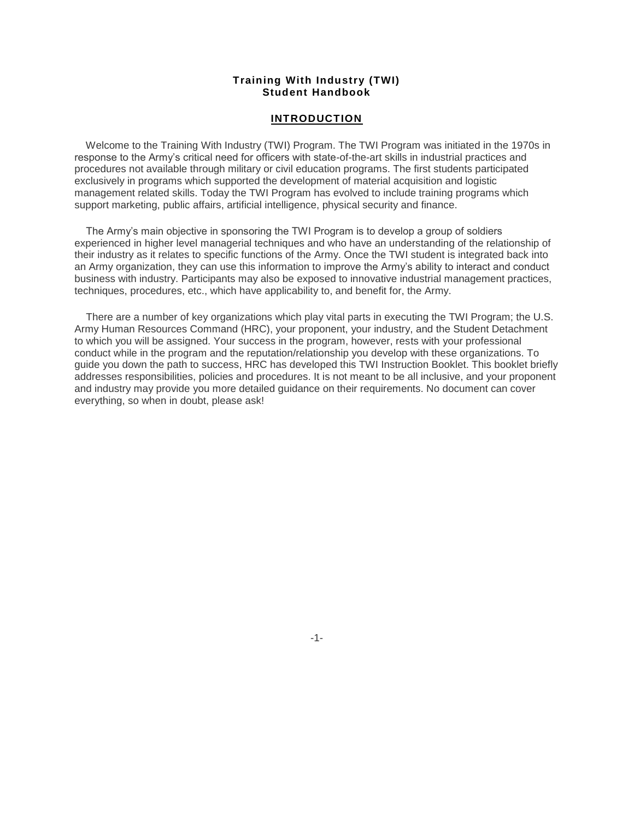#### **INTRODUCTION**

 Welcome to the Training With Industry (TWI) Program. The TWI Program was initiated in the 1970s in response to the Army's critical need for officers with state-of-the-art skills in industrial practices and procedures not available through military or civil education programs. The first students participated exclusively in programs which supported the development of material acquisition and logistic management related skills. Today the TWI Program has evolved to include training programs which support marketing, public affairs, artificial intelligence, physical security and finance.

 The Army's main objective in sponsoring the TWI Program is to develop a group of soldiers experienced in higher level managerial techniques and who have an understanding of the relationship of their industry as it relates to specific functions of the Army. Once the TWI student is integrated back into an Army organization, they can use this information to improve the Army's ability to interact and conduct business with industry. Participants may also be exposed to innovative industrial management practices, techniques, procedures, etc., which have applicability to, and benefit for, the Army.

 There are a number of key organizations which play vital parts in executing the TWI Program; the U.S. Army Human Resources Command (HRC), your proponent, your industry, and the Student Detachment to which you will be assigned. Your success in the program, however, rests with your professional conduct while in the program and the reputation/relationship you develop with these organizations. To guide you down the path to success, HRC has developed this TWI Instruction Booklet. This booklet briefly addresses responsibilities, policies and procedures. It is not meant to be all inclusive, and your proponent and industry may provide you more detailed guidance on their requirements. No document can cover everything, so when in doubt, please ask!

-1-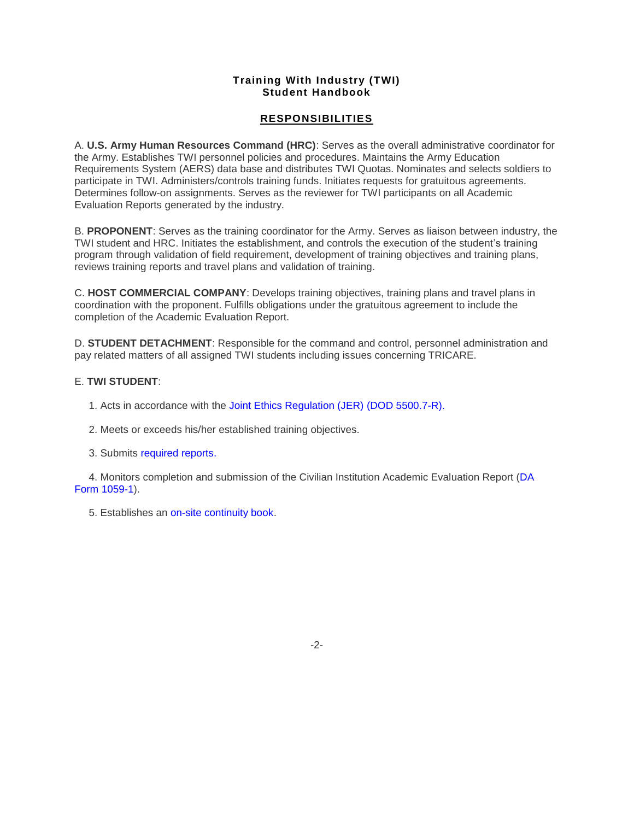# **RESPONSIBILITIES**

A. **U.S. Army Human Resources Command (HRC)**: Serves as the overall administrative coordinator for the Army. Establishes TWI personnel policies and procedures. Maintains the Army Education Requirements System (AERS) data base and distributes TWI Quotas. Nominates and selects soldiers to participate in TWI. Administers/controls training funds. Initiates requests for gratuitous agreements. Determines follow-on assignments. Serves as the reviewer for TWI participants on all Academic Evaluation Reports generated by the industry.

B. **PROPONENT**: Serves as the training coordinator for the Army. Serves as liaison between industry, the TWI student and HRC. Initiates the establishment, and controls the execution of the student's training program through validation of field requirement, development of training objectives and training plans, reviews training reports and travel plans and validation of training.

C. **HOST COMMERCIAL COMPANY**: Develops training objectives, training plans and travel plans in coordination with the proponent. Fulfills obligations under the gratuitous agreement to include the completion of the Academic Evaluation Report.

D. **STUDENT DETACHMENT**: Responsible for the command and control, personnel administration and pay related matters of all assigned TWI students including issues concerning TRICARE.

# E. **TWI STUDENT**:

- 1. Acts in accordance with the [Joint Ethics Regulation \(JER\)](http://www.defenselink.mil/dodgc/defense_ethics/ethics_regulation/) (DOD 5500.7-R).
- 2. Meets or exceeds his/her established training objectives.
- 3. Submits [required reports.](http://hrctest/opfamacs/TWI12.htm)

 4. Monitors completion and submission of the Civilian Institution Academic Evaluation Report [\(DA](http://hrctest/opfamacs/TWI17.htm)  [Form 1059-1\)](http://hrctest/opfamacs/TWI17.htm).

5. Establishes an [on-site continuity book.](http://hrctest/opfamacs/TWI11.htm)

-2-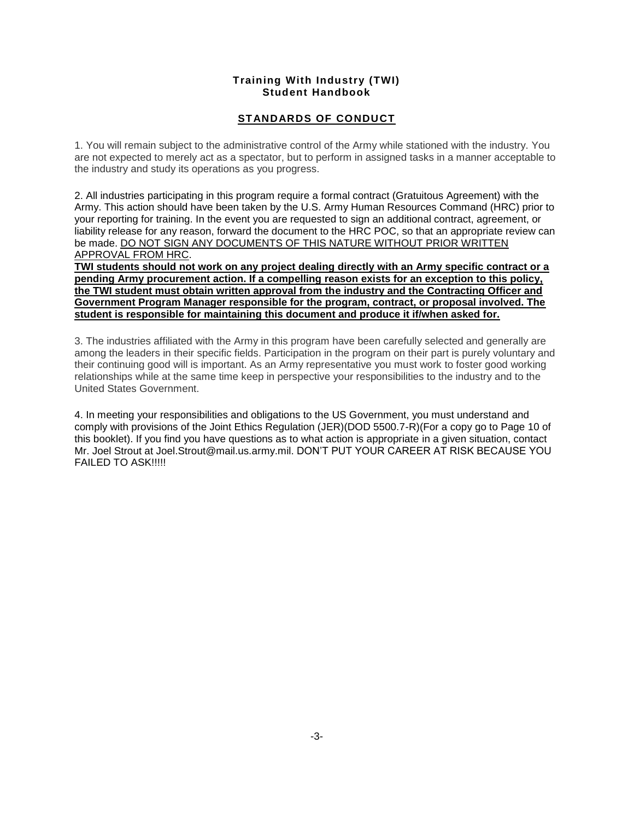# **STANDARDS OF CONDUCT**

1. You will remain subject to the administrative control of the Army while stationed with the industry. You are not expected to merely act as a spectator, but to perform in assigned tasks in a manner acceptable to the industry and study its operations as you progress.

2. All industries participating in this program require a formal contract (Gratuitous Agreement) with the Army. This action should have been taken by the U.S. Army Human Resources Command (HRC) prior to your reporting for training. In the event you are requested to sign an additional contract, agreement, or liability release for any reason, forward the document to the HRC POC, so that an appropriate review can be made. DO NOT SIGN ANY DOCUMENTS OF THIS NATURE WITHOUT PRIOR WRITTEN APPROVAL FROM HRC.

**TWI students should not work on any project dealing directly with an Army specific contract or a pending Army procurement action. If a compelling reason exists for an exception to this policy, the TWI student must obtain written approval from the industry and the Contracting Officer and Government Program Manager responsible for the program, contract, or proposal involved. The student is responsible for maintaining this document and produce it if/when asked for.**

3. The industries affiliated with the Army in this program have been carefully selected and generally are among the leaders in their specific fields. Participation in the program on their part is purely voluntary and their continuing good will is important. As an Army representative you must work to foster good working relationships while at the same time keep in perspective your responsibilities to the industry and to the United States Government.

4. In meeting your responsibilities and obligations to the US Government, you must understand and comply with provisions of the Joint Ethics Regulation (JER)(DOD 5500.7-R)(For a copy go to Page 10 of this booklet). If you find you have questions as to what action is appropriate in a given situation, contact Mr. Joel Strout at Joel.Strout@mail.us.army.mil. DON'T PUT YOUR CAREER AT RISK BECAUSE YOU FAILED TO ASK!!!!!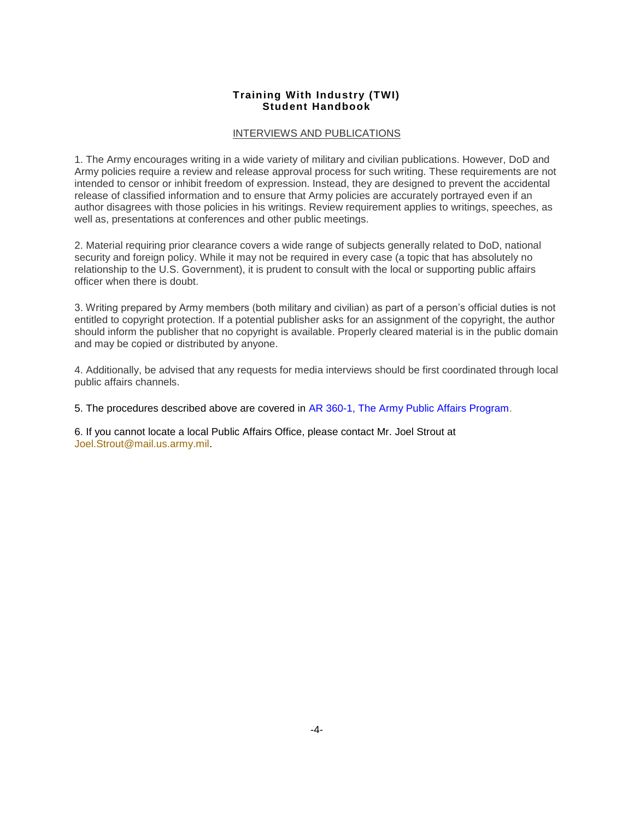### INTERVIEWS AND PUBLICATIONS

1. The Army encourages writing in a wide variety of military and civilian publications. However, DoD and Army policies require a review and release approval process for such writing. These requirements are not intended to censor or inhibit freedom of expression. Instead, they are designed to prevent the accidental release of classified information and to ensure that Army policies are accurately portrayed even if an author disagrees with those policies in his writings. Review requirement applies to writings, speeches, as well as, presentations at conferences and other public meetings.

2. Material requiring prior clearance covers a wide range of subjects generally related to DoD, national security and foreign policy. While it may not be required in every case (a topic that has absolutely no relationship to the U.S. Government), it is prudent to consult with the local or supporting public affairs officer when there is doubt.

3. Writing prepared by Army members (both military and civilian) as part of a person's official duties is not entitled to copyright protection. If a potential publisher asks for an assignment of the copyright, the author should inform the publisher that no copyright is available. Properly cleared material is in the public domain and may be copied or distributed by anyone.

4. Additionally, be advised that any requests for media interviews should be first coordinated through local public affairs channels.

5. The procedures described above are covered in [AR 360-1, The Army Public Affairs Program.](http://www.usapa.army.mil/gils/)

6. If you cannot locate a local Public Affairs Office, please contact Mr. Joel Strout at [Joel.Strout@mail.us.army.mil.](mailto:Joel.Strout@mail.us.army.mil)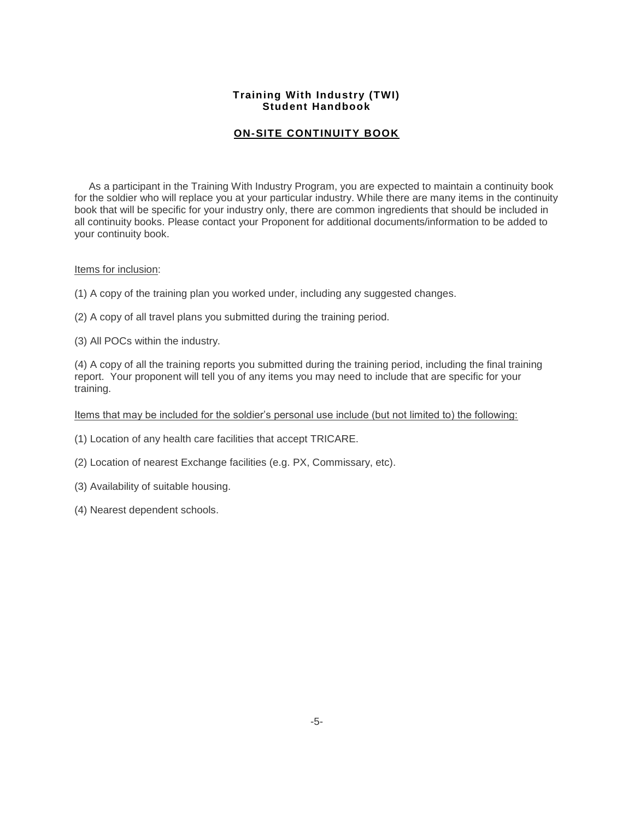# **ON-SITE CONTINUITY BOOK**

 As a participant in the Training With Industry Program, you are expected to maintain a continuity book for the soldier who will replace you at your particular industry. While there are many items in the continuity book that will be specific for your industry only, there are common ingredients that should be included in all continuity books. Please contact your Proponent for additional documents/information to be added to your continuity book.

#### Items for inclusion:

- (1) A copy of the training plan you worked under, including any suggested changes.
- (2) A copy of all travel plans you submitted during the training period.

(3) All POCs within the industry.

(4) A copy of all the training reports you submitted during the training period, including the final training report. Your proponent will tell you of any items you may need to include that are specific for your training.

Items that may be included for the soldier's personal use include (but not limited to) the following:

(1) Location of any health care facilities that accept TRICARE.

- (2) Location of nearest Exchange facilities (e.g. PX, Commissary, etc).
- (3) Availability of suitable housing.
- (4) Nearest dependent schools.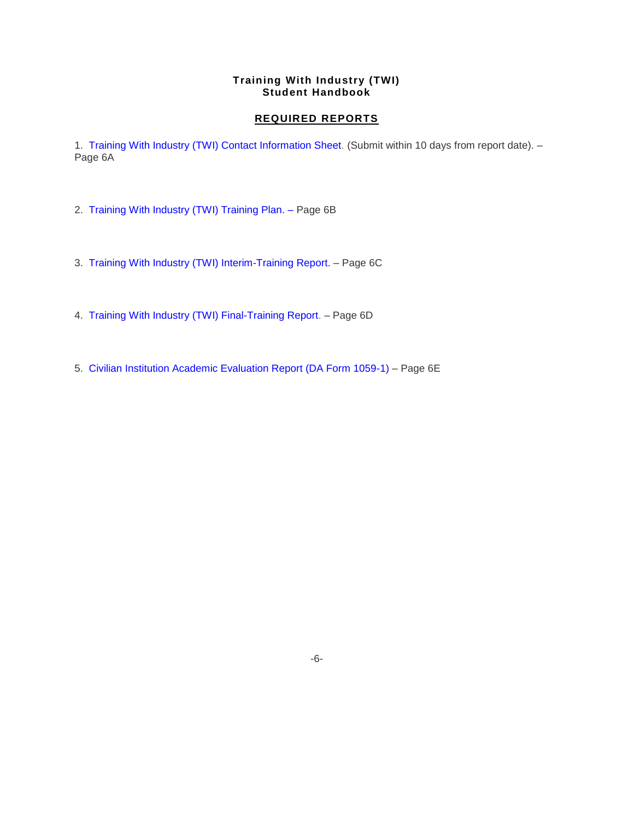## **REQUIRED REPORTS**

1. [Training With Industry \(TWI\) Contact Information Sheet.](http://hrctest/opfamacs/TWI%20Contact%20Sheet.msg) (Submit within 10 days from report date). – Page 6A

- 2. [Training With Industry \(TWI\) Training Plan.](http://hrctest/opfamacs/TWI13.htm) Page 6B
- 3. [Training With Industry \(TWI\) Interim-Training Report.](http://hrctest/opfamacs/TWI14.htm) Page 6C
- 4. [Training With Industry \(TWI\) Final-Training Report.](http://hrctest/opfamacs/TWI15.htm) Page 6D
- 5. [Civilian Institution Academic Evaluation Report \(DA Form 1059-1\)](http://hrctest/opfamacs/TWI17.htm) Page 6E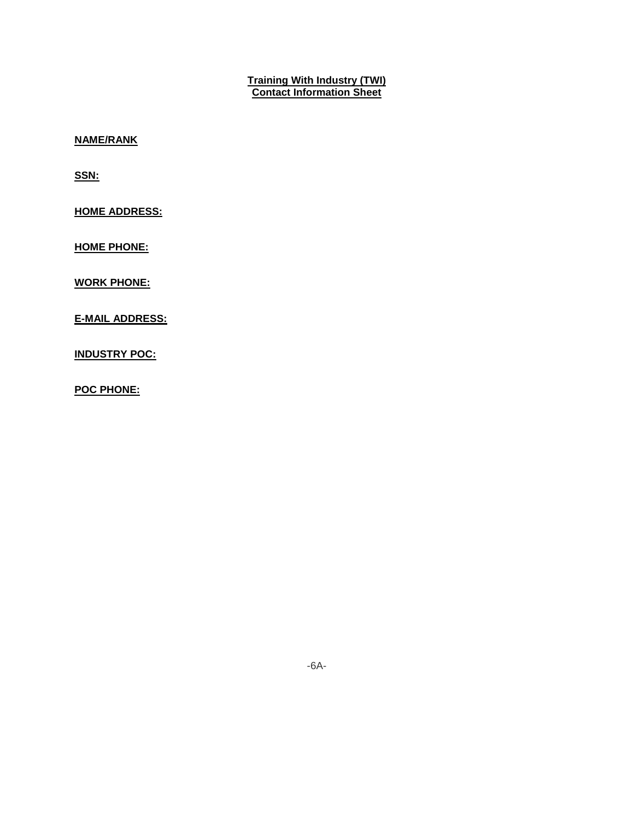# **Training With Industry (TWI) Contact Information Sheet**

**NAME/RANK**

**SSN:**

**HOME ADDRESS:**

**HOME PHONE:**

**WORK PHONE:**

**E-MAIL ADDRESS:**

**INDUSTRY POC:**

**POC PHONE:**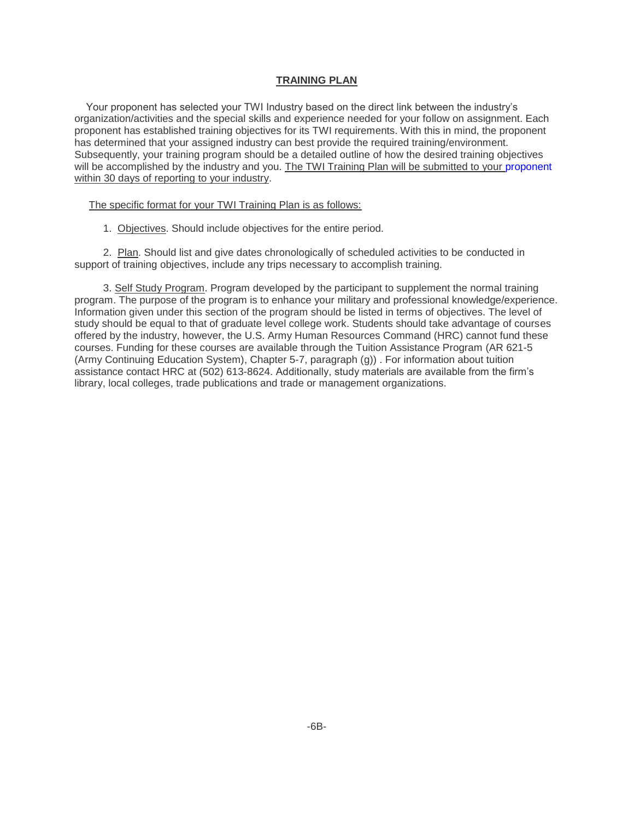#### **TRAINING PLAN**

 Your proponent has selected your TWI Industry based on the direct link between the industry's organization/activities and the special skills and experience needed for your follow on assignment. Each proponent has established training objectives for its TWI requirements. With this in mind, the proponent has determined that your assigned industry can best provide the required training/environment. Subsequently, your training program should be a detailed outline of how the desired training objectives will be accomplished by the industry and you. The TWI Training Plan will be submitted to your [proponent](http://hrctest/opfamacs/TWI18.htm) within 30 days of reporting to your industry.

#### The specific format for your TWI Training Plan is as follows:

1. Objectives. Should include objectives for the entire period.

 2. Plan. Should list and give dates chronologically of scheduled activities to be conducted in support of training objectives, include any trips necessary to accomplish training.

 3. Self Study Program. Program developed by the participant to supplement the normal training program. The purpose of the program is to enhance your military and professional knowledge/experience. Information given under this section of the program should be listed in terms of objectives. The level of study should be equal to that of graduate level college work. Students should take advantage of courses offered by the industry, however, the U.S. Army Human Resources Command (HRC) cannot fund these courses. Funding for these courses are available through the Tuition Assistance Program (AR 621-5 (Army Continuing Education System), Chapter 5-7, paragraph (g)) . For information about tuition assistance contact HRC at (502) 613-8624. Additionally, study materials are available from the firm's library, local colleges, trade publications and trade or management organizations.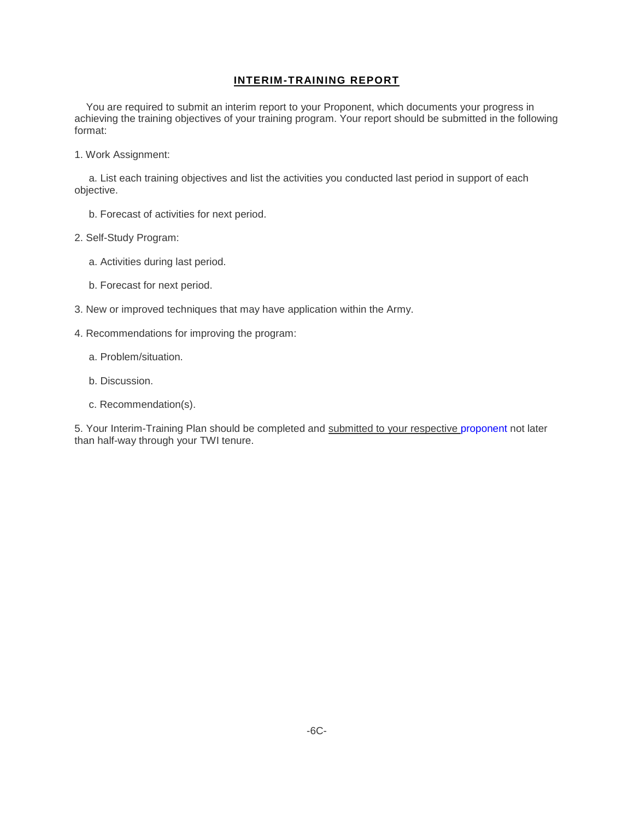## **INTERIM-TRAINING REPORT**

 You are required to submit an interim report to your Proponent, which documents your progress in achieving the training objectives of your training program. Your report should be submitted in the following format:

1. Work Assignment:

 a. List each training objectives and list the activities you conducted last period in support of each objective.

- b. Forecast of activities for next period.
- 2. Self-Study Program:
	- a. Activities during last period.
	- b. Forecast for next period.
- 3. New or improved techniques that may have application within the Army.
- 4. Recommendations for improving the program:
	- a. Problem/situation.
	- b. Discussion.
	- c. Recommendation(s).

5. Your Interim-Training Plan should be completed and submitted to your respective [proponent](http://hrctest/opfamacs/TWI18.htm) not later than half-way through your TWI tenure.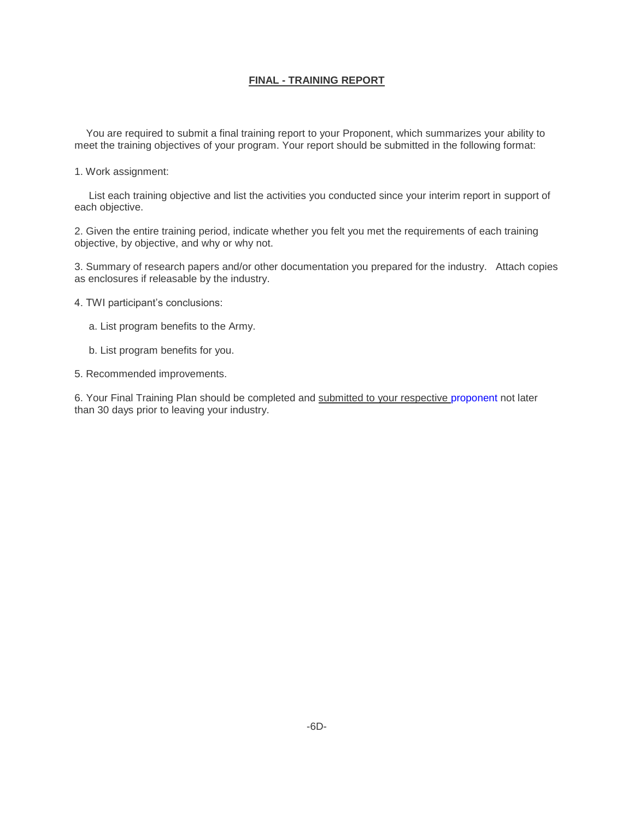## **FINAL - TRAINING REPORT**

 You are required to submit a final training report to your Proponent, which summarizes your ability to meet the training objectives of your program. Your report should be submitted in the following format:

1. Work assignment:

 List each training objective and list the activities you conducted since your interim report in support of each objective.

2. Given the entire training period, indicate whether you felt you met the requirements of each training objective, by objective, and why or why not.

3. Summary of research papers and/or other documentation you prepared for the industry. Attach copies as enclosures if releasable by the industry.

- 4. TWI participant's conclusions:
	- a. List program benefits to the Army.
	- b. List program benefits for you.

5. Recommended improvements.

6. Your Final Training Plan should be completed and submitted to your respective [proponent](http://hrctest/opfamacs/TWI18.htm) not later than 30 days prior to leaving your industry.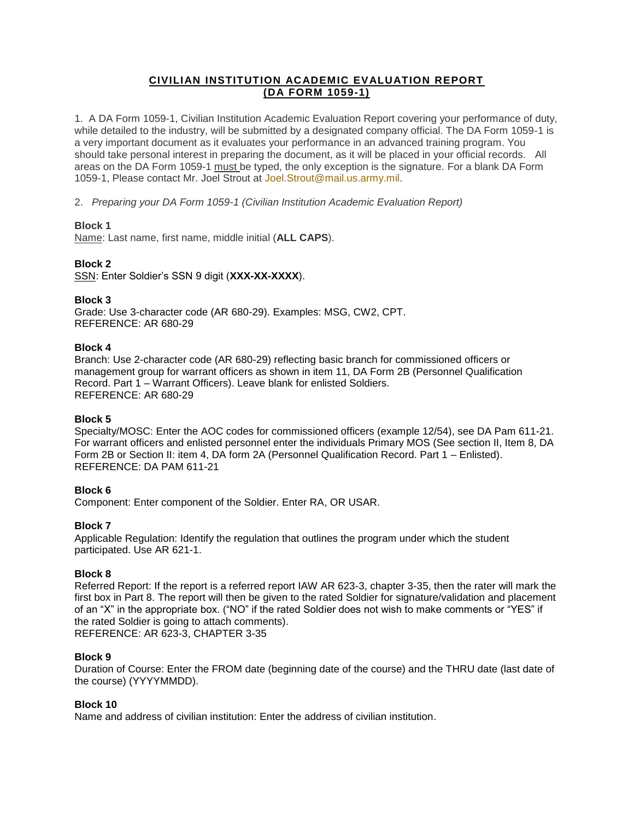# **CIVILIAN INSTITUTION ACADEMIC EVALUATION REPORT (DA FORM 1059-1)**

1. A DA Form 1059-1, Civilian Institution Academic Evaluation Report covering your performance of duty, while detailed to the industry, will be submitted by a designated company official. The DA Form 1059-1 is a very important document as it evaluates your performance in an advanced training program. You should take personal interest in preparing the document, as it will be placed in your official records. All areas on the DA Form 1059-1 must be typed, the only exception is the signature. For a blank DA Form 1059-1, Please contact Mr. Joel Strout at [Joel.Strout@mail.us.army.mil.](mailto:Joel.Strout@mail.us.army.mil)

2. *Preparing your DA Form 1059-1 (Civilian Institution Academic Evaluation Report)*

# **Block 1**

Name: Last name, first name, middle initial (**ALL CAPS**).

# **Block 2**

SSN: Enter Soldier's SSN 9 digit (**XXX-XX-XXXX**).

## **Block 3**

Grade: Use 3-character code (AR 680-29). Examples: MSG, CW2, CPT. REFERENCE: AR 680-29

## **Block 4**

Branch: Use 2-character code (AR 680-29) reflecting basic branch for commissioned officers or management group for warrant officers as shown in item 11, DA Form 2B (Personnel Qualification Record. Part 1 – Warrant Officers). Leave blank for enlisted Soldiers. REFERENCE: AR 680-29

# **Block 5**

Specialty/MOSC: Enter the AOC codes for commissioned officers (example 12/54), see DA Pam 611-21. For warrant officers and enlisted personnel enter the individuals Primary MOS (See section II, Item 8, DA Form 2B or Section II: item 4, DA form 2A (Personnel Qualification Record. Part 1 – Enlisted). REFERENCE: DA PAM 611-21

# **Block 6**

Component: Enter component of the Soldier. Enter RA, OR USAR.

# **Block 7**

Applicable Regulation: Identify the regulation that outlines the program under which the student participated. Use AR 621-1.

### **Block 8**

Referred Report: If the report is a referred report IAW AR 623-3, chapter 3-35, then the rater will mark the first box in Part 8. The report will then be given to the rated Soldier for signature/validation and placement of an "X" in the appropriate box. ("NO" if the rated Soldier does not wish to make comments or "YES" if the rated Soldier is going to attach comments). REFERENCE: AR 623-3, CHAPTER 3-35

### **Block 9**

Duration of Course: Enter the FROM date (beginning date of the course) and the THRU date (last date of the course) (YYYYMMDD).

### **Block 10**

Name and address of civilian institution: Enter the address of civilian institution.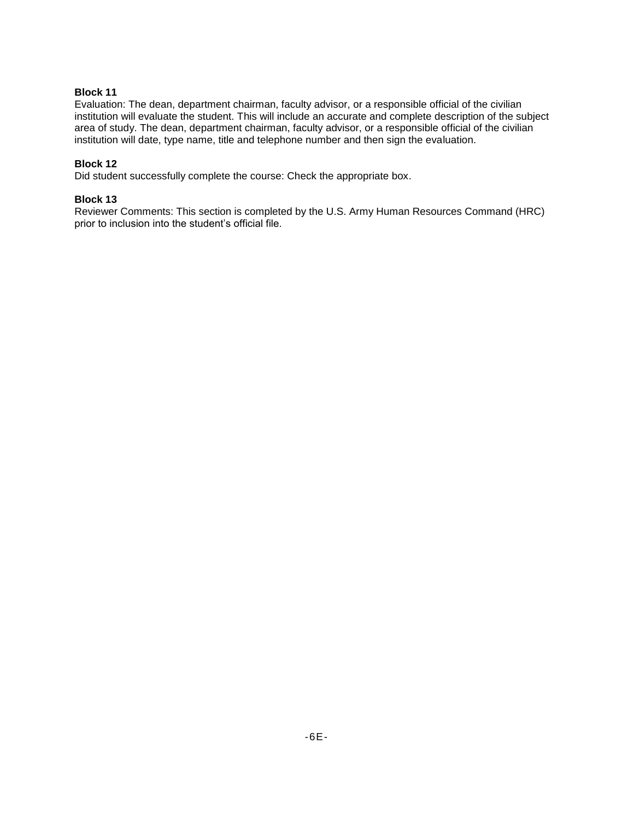## **Block 11**

Evaluation: The dean, department chairman, faculty advisor, or a responsible official of the civilian institution will evaluate the student. This will include an accurate and complete description of the subject area of study. The dean, department chairman, faculty advisor, or a responsible official of the civilian institution will date, type name, title and telephone number and then sign the evaluation.

## **Block 12**

Did student successfully complete the course: Check the appropriate box.

## **Block 13**

Reviewer Comments: This section is completed by the U.S. Army Human Resources Command (HRC) prior to inclusion into the student's official file.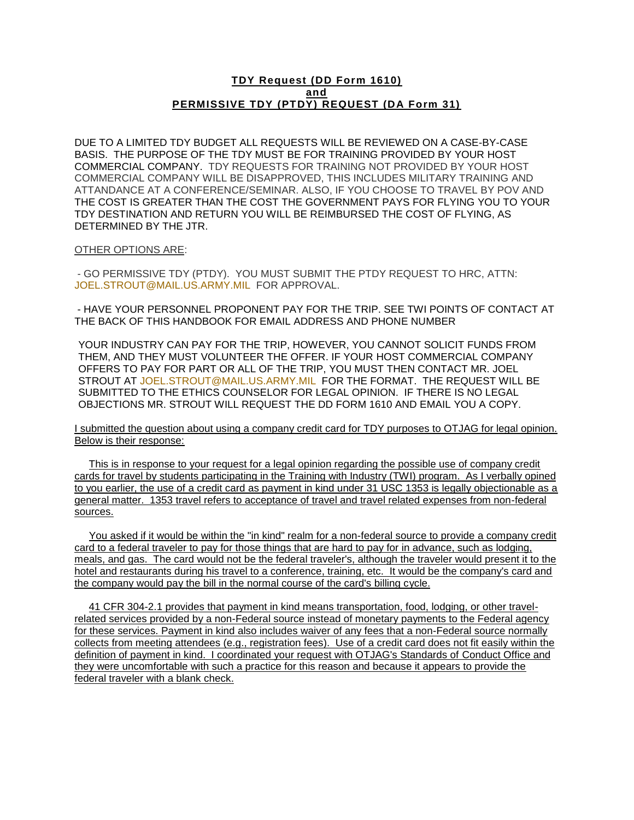### **TDY Request (DD Form 1610) and PERMISSIVE TDY (PTDY) REQUEST (DA Form 31)**

DUE TO A LIMITED TDY BUDGET ALL REQUESTS WILL BE REVIEWED ON A CASE-BY-CASE BASIS. THE PURPOSE OF THE TDY MUST BE FOR TRAINING PROVIDED BY YOUR HOST COMMERCIAL COMPANY. TDY REQUESTS FOR TRAINING NOT PROVIDED BY YOUR HOST COMMERCIAL COMPANY WILL BE DISAPPROVED, THIS INCLUDES MILITARY TRAINING AND ATTANDANCE AT A CONFERENCE/SEMINAR. ALSO, IF YOU CHOOSE TO TRAVEL BY POV AND THE COST IS GREATER THAN THE COST THE GOVERNMENT PAYS FOR FLYING YOU TO YOUR TDY DESTINATION AND RETURN YOU WILL BE REIMBURSED THE COST OF FLYING, AS DETERMINED BY THE JTR.

#### OTHER OPTIONS ARE:

- GO PERMISSIVE TDY (PTDY). YOU MUST SUBMIT THE PTDY REQUEST TO HRC, ATTN: [JOEL.STROUT@MAIL.US.ARMY.MIL](mailto:JOEL.STROUT@MAIL.US.ARMY.MIL) FOR APPROVAL.

- HAVE YOUR PERSONNEL PROPONENT PAY FOR THE TRIP. SEE TWI POINTS OF CONTACT AT THE BACK OF THIS HANDBOOK FOR EMAIL ADDRESS AND PHONE NUMBER

YOUR INDUSTRY CAN PAY FOR THE TRIP, HOWEVER, YOU CANNOT SOLICIT FUNDS FROM THEM, AND THEY MUST VOLUNTEER THE OFFER. IF YOUR HOST COMMERCIAL COMPANY OFFERS TO PAY FOR PART OR ALL OF THE TRIP, YOU MUST THEN CONTACT MR. JOEL STROUT AT [JOEL.STROUT@MAIL.US.ARMY.MIL](mailto:JOEL.STROUT@MAIL.US.ARMY.MIL) FOR THE FORMAT. THE REQUEST WILL BE SUBMITTED TO THE ETHICS COUNSELOR FOR LEGAL OPINION. IF THERE IS NO LEGAL OBJECTIONS MR. STROUT WILL REQUEST THE DD FORM 1610 AND EMAIL YOU A COPY.

I submitted the question about using a company credit card for TDY purposes to OTJAG for legal opinion. Below is their response:

 This is in response to your request for a legal opinion regarding the possible use of company credit cards for travel by students participating in the Training with Industry (TWI) program. As I verbally opined to you earlier, the use of a credit card as payment in kind under 31 USC 1353 is legally objectionable as a general matter. 1353 travel refers to acceptance of travel and travel related expenses from non-federal sources.

 You asked if it would be within the "in kind" realm for a non-federal source to provide a company credit card to a federal traveler to pay for those things that are hard to pay for in advance, such as lodging, meals, and gas. The card would not be the federal traveler's, although the traveler would present it to the hotel and restaurants during his travel to a conference, training, etc. It would be the company's card and the company would pay the bill in the normal course of the card's billing cycle.

 41 CFR 304-2.1 provides that payment in kind means transportation, food, lodging, or other travelrelated services provided by a non-Federal source instead of monetary payments to the Federal agency for these services. Payment in kind also includes waiver of any fees that a non-Federal source normally collects from meeting attendees (e.g., registration fees). Use of a credit card does not fit easily within the definition of payment in kind. I coordinated your request with OTJAG's Standards of Conduct Office and they were uncomfortable with such a practice for this reason and because it appears to provide the federal traveler with a blank check.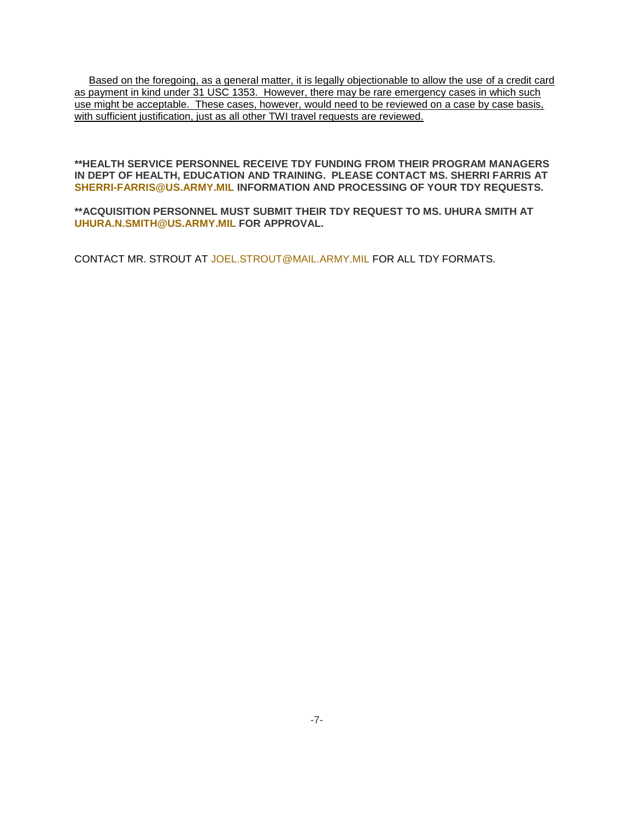Based on the foregoing, as a general matter, it is legally objectionable to allow the use of a credit card as payment in kind under 31 USC 1353. However, there may be rare emergency cases in which such use might be acceptable. These cases, however, would need to be reviewed on a case by case basis, with sufficient justification, just as all other TWI travel requests are reviewed.

### **\*\*HEALTH SERVICE PERSONNEL RECEIVE TDY FUNDING FROM THEIR PROGRAM MANAGERS IN DEPT OF HEALTH, EDUCATION AND TRAINING. PLEASE CONTACT MS. SHERRI FARRIS AT [SHERRI-FARRIS@US.ARMY.MIL](mailto:SHERRI-FARRIS@US.ARMY.MIL) INFORMATION AND PROCESSING OF YOUR TDY REQUESTS.**

**\*\*ACQUISITION PERSONNEL MUST SUBMIT THEIR TDY REQUEST TO MS. UHURA SMITH AT [UHURA.N.SMITH@US.ARMY.MIL](mailto:UHURA.N.SMITH@US.ARMY.MIL) FOR APPROVAL.**

CONTACT MR. STROUT AT [JOEL.STROUT@MAIL.ARMY.MIL](mailto:JOEL.STROUT@MAIL.ARMY.MIL) FOR ALL TDY FORMATS.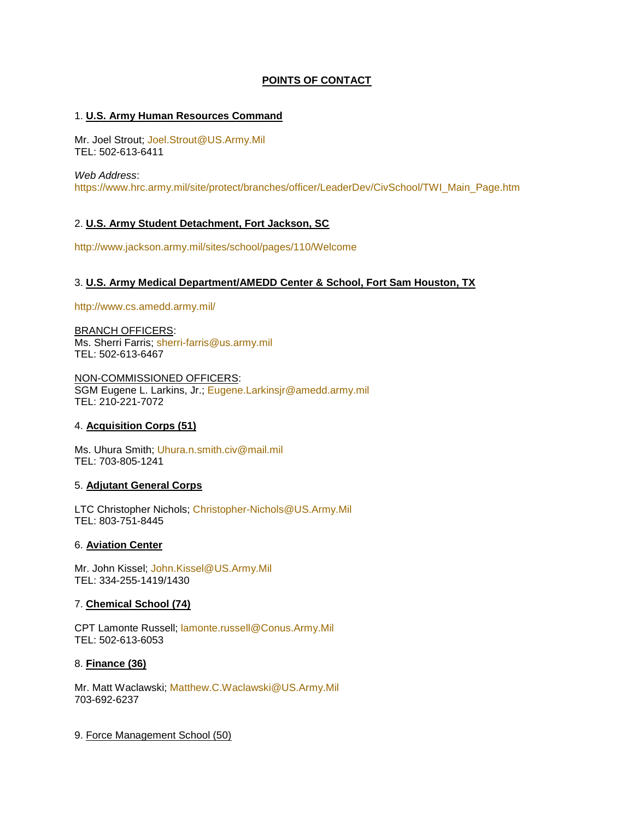# **POINTS OF CONTACT**

## 1. **U.S. Army Human Resources Command**

Mr. Joel Strout; [Joel.Strout@US.Army.Mil](mailto:Joel.Strout@US.Army.Mil) TEL: 502-613-6411

*Web Address*:

[https://www.hrc.army.mil/site/protect/branches/officer/LeaderDev/CivSchool/TWI\\_Main\\_Page.htm](https://www.hrc.army.mil/site/protect/branches/officer/LeaderDev/CivSchool/TWI_Main_Page.htm)

## 2. **U.S. Army Student Detachment, Fort Jackson, SC**

<http://www.jackson.army.mil/sites/school/pages/110/Welcome>

## 3. **U.S. Army Medical Department/AMEDD Center & School, Fort Sam Houston, TX**

<http://www.cs.amedd.army.mil/>

BRANCH OFFICERS: Ms. Sherri Farris; [sherri-farris@us.army.mil](mailto:sherri-farris@us.army.mil) TEL: 502-613-6467

NON-COMMISSIONED OFFICERS: SGM Eugene L. Larkins, Jr.; [Eugene.Larkinsjr@amedd.army.mil](mailto:Eugene.Larkinsjr@amedd.army.mil) TEL: 210-221-7072

### 4. **Acquisition Corps (51)**

Ms. Uhura Smith; [Uhura.n.smith.civ@mail.mil](mailto:Uhura.n.smith.civ@mail.mil) TEL: 703-805-1241

### 5. **Adjutant General Corps**

LTC Christopher Nichols; [Christopher-Nichols@US.Army.Mil](mailto:Christopher-Nichols@US.Army.Mil) TEL: 803-751-8445

### 6. **Aviation Center**

Mr. John Kissel; [John.Kissel@US.Army.Mil](mailto:John.Kissel@US.Army.Mil) TEL: 334-255-1419/1430

### 7. **Chemical School (74)**

CPT Lamonte Russell; [lamonte.russell@Conus.Army.Mil](mailto:lamonte.russell@Conus.Army.Mil) TEL: 502-613-6053

### 8. **Finance (36)**

Mr. Matt Waclawski; [Matthew.C.Waclawski@US.Army.Mil](mailto:Matthew.C.Waclawski@US.Army.Mil) 703-692-6237

9. Force Management School (50)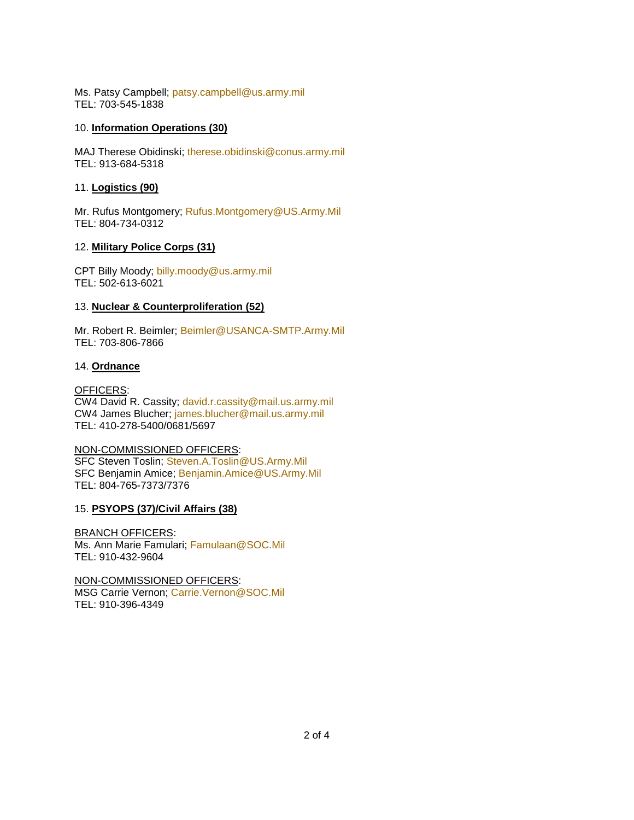Ms. Patsy Campbell; [patsy.campbell@us.army.mil](mailto:patsy.campbell@us.army.mil) TEL: 703-545-1838

### 10. **Information Operations (30)**

MAJ Therese Obidinski; [therese.obidinski@conus.army.mil](mailto:therese.obidinski@conus.army.mil) TEL: 913-684-5318

## 11. **Logistics (90)**

Mr. Rufus Montgomery; [Rufus.Montgomery@US.Army.Mil](mailto:Rufus.Montgomery@US.Army.Mil) TEL: 804-734-0312

# 12. **Military Police Corps (31)**

CPT Billy Moody; [billy.moody@us.army.mil](mailto:billy.moody@us.army.mil) TEL: 502-613-6021

# 13. **Nuclear & Counterproliferation (52)**

Mr. Robert R. Beimler; [Beimler@USANCA-SMTP.Army.Mil](mailto:Beimler@USANCA-SMTP.Army.Mil) TEL: 703-806-7866

## 14. **Ordnance**

OFFICERS: CW4 David R. Cassity; [david.r.cassity@mail.us.army.mil](mailto:david.r.cassity@mail.us.army.mil) CW4 James Blucher; [james.blucher@mail.us.army.mil](mailto:james.blucher@mail.us.army.mil) TEL: 410-278-5400/0681/5697

## NON-COMMISSIONED OFFICERS:

SFC Steven Toslin; [Steven.A.Toslin@US.Army.Mil](mailto:Steven.A.Toslin@US.Army.Mil) SFC Benjamin Amice; [Benjamin.Amice@US.Army.Mil](mailto:Benjamin.Amice@US.Army.Mil) TEL: 804-765-7373/7376

# 15. **PSYOPS (37)/Civil Affairs (38)**

BRANCH OFFICERS: Ms. Ann Marie Famulari; [Famulaan@SOC.Mil](mailto:Famulaan@SOC.Mil) TEL: 910-432-9604

NON-COMMISSIONED OFFICERS: MSG Carrie Vernon; [Carrie.Vernon@SOC.Mil](mailto:Carrie.Vernon@SOC.Mil) TEL: 910-396-4349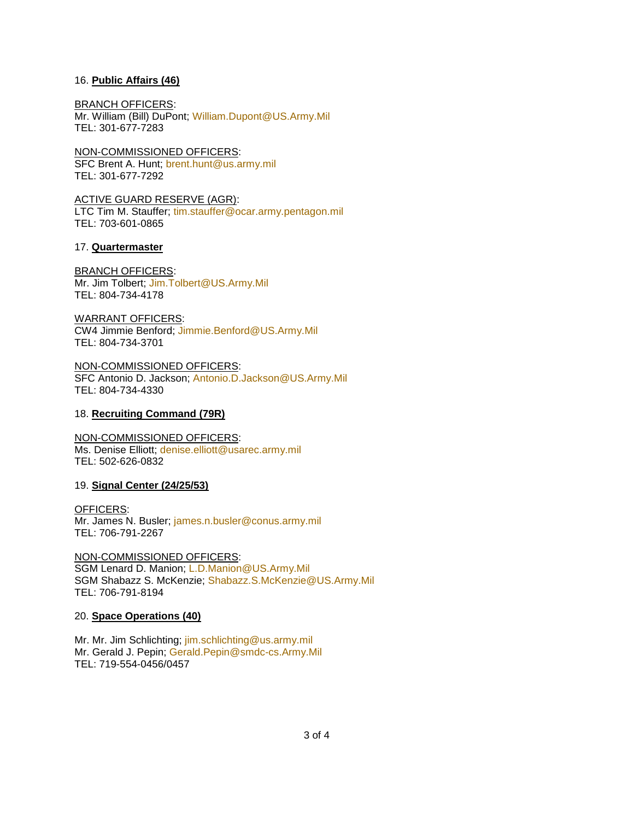### 16. **Public Affairs (46)**

#### BRANCH OFFICERS:

Mr. William (Bill) DuPont; [William.Dupont@US.Army.Mil](mailto:William.Dupont@US.Army.Mil) TEL: 301-677-7283

NON-COMMISSIONED OFFICERS:

SFC Brent A. Hunt; [brent.hunt@us.army.mil](mailto:brent.hunt@us.army.mil) TEL: 301-677-7292

ACTIVE GUARD RESERVE (AGR): LTC Tim M. Stauffer; [tim.stauffer@ocar.army.pentagon.mil](mailto:tim.stauffer@ocar.army.pentagon.mil) TEL: 703-601-0865

## 17. **Quartermaster**

## BRANCH OFFICERS:

Mr. Jim Tolbert; [Jim.Tolbert@US.Army.Mil](mailto:Jim.Tolbert@US.Army.Mil) TEL: 804-734-4178

### WARRANT OFFICERS:

CW4 Jimmie Benford; [Jimmie.Benford@US.Army.Mil](mailto:Jimmie.Benford@US.Army.Mil) TEL: 804-734-3701

NON-COMMISSIONED OFFICERS: SFC Antonio D. Jackson; [Antonio.D.Jackson@US.Army.Mil](mailto:Antonio.D.Jackson@US.Army.Mil) TEL: 804-734-4330

## 18. **Recruiting Command (79R)**

# NON-COMMISSIONED OFFICERS:

Ms. Denise Elliott; [denise.elliott@usarec.army.mil](mailto:denise.elliott@usarec.army.mil) TEL: 502-626-0832

# 19. **Signal Center (24/25/53)**

OFFICERS: Mr. James N. Busler; [james.n.busler@conus.army.mil](mailto:james.n.busler@conus.army.mil) TEL: 706-791-2267

# NON-COMMISSIONED OFFICERS:

SGM Lenard D. Manion; [L.D.Manion@US.Army.Mil](mailto:L.D.Manion@US.Army.Mil) SGM Shabazz S. McKenzie; [Shabazz.S.McKenzie@US.Army.Mil](mailto:Shabazz.S.McKenzie@US.Army.Mil) TEL: 706-791-8194

# 20. **Space Operations (40)**

Mr. Mr. Jim Schlichting; [jim.schlichting@us.army.mil](mailto:jim.schlichting@us.army.mil) Mr. Gerald J. Pepin; [Gerald.Pepin@smdc-cs.Army.Mil](mailto:Gerald.Pepin@smdc-cs.Army.Mil) TEL: 719-554-0456/0457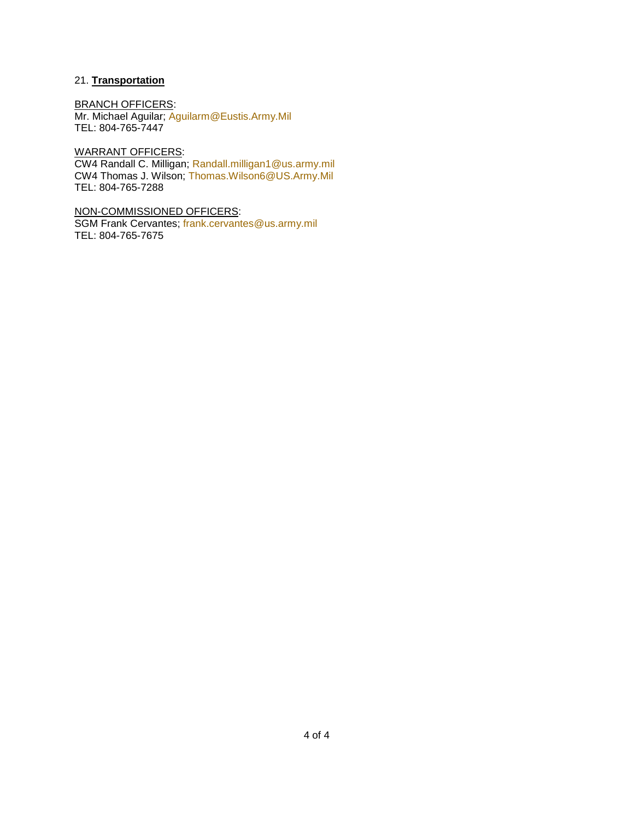# 21. **Transportation**

BRANCH OFFICERS: Mr. Michael Aguilar; [Aguilarm@Eustis.Army.Mil](mailto:Aguilarm@Eustis.Army.Mil) TEL: 804-765-7447

WARRANT OFFICERS: CW4 Randall C. Milligan; [Randall.milligan1@us.army.mil](mailto:Randall.milligan1@us.army.mil) CW4 Thomas J. Wilson; [Thomas.Wilson6@US.Army.Mil](mailto:Thomas.Wilson6@US.Army.Mil) TEL: 804-765-7288

NON-COMMISSIONED OFFICERS: SGM Frank Cervantes; [frank.cervantes@us.army.mil](mailto:frank.cervantes@us.army.mil) TEL: 804-765-7675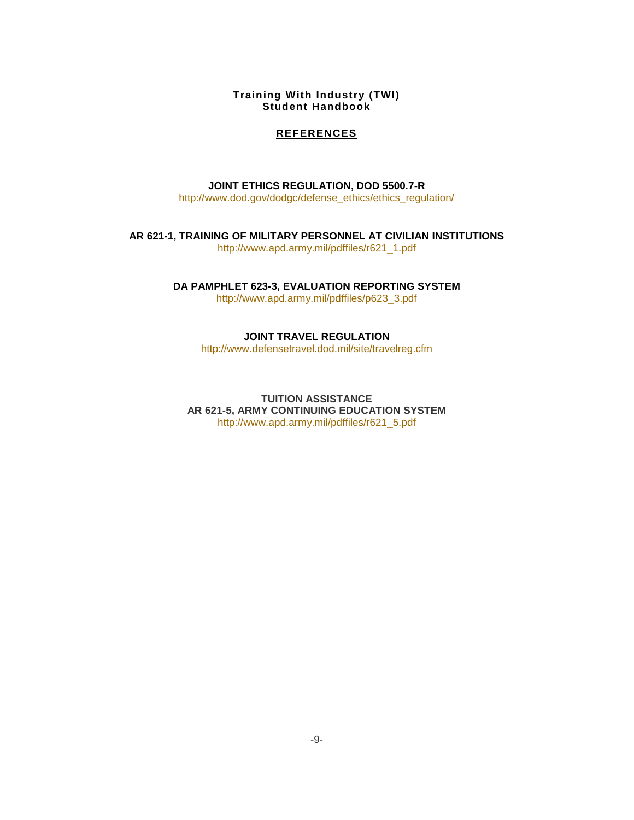## **REFERENCES**

**[JOINT ETHICS REGULATION, DOD 5500.7-R](http://www.defenselink.mil/dodgc/defense_ethics/ethics_regulation/)**

[http://www.dod.gov/dodgc/defense\\_ethics/ethics\\_regulation/](http://www.dod.gov/dodgc/defense_ethics/ethics_regulation/)

**[AR 621-1, TRAINING OF MILITARY PERSONNEL AT CIVILIAN INSTITUTIONS](http://www.usapa.army.mil/)** [http://www.apd.army.mil/pdffiles/r621\\_1.pdf](http://www.apd.army.mil/pdffiles/r621_1.pdf)

**[DA PAMPHLET 623-3, EVALUATION REPORTING SYSTEM](http://www.usapa.army.mil/)**

[http://www.apd.army.mil/pdffiles/p623\\_3.pdf](http://www.apd.army.mil/pdffiles/p623_3.pdf)

**JOINT TRAVEL REGULATION**

<http://www.defensetravel.dod.mil/site/travelreg.cfm>

**TUITION ASSISTANCE AR 621-5, ARMY CONTINUING EDUCATION SYSTEM** [http://www.apd.army.mil/pdffiles/r621\\_5.pdf](http://www.apd.army.mil/pdffiles/r621_5.pdf)